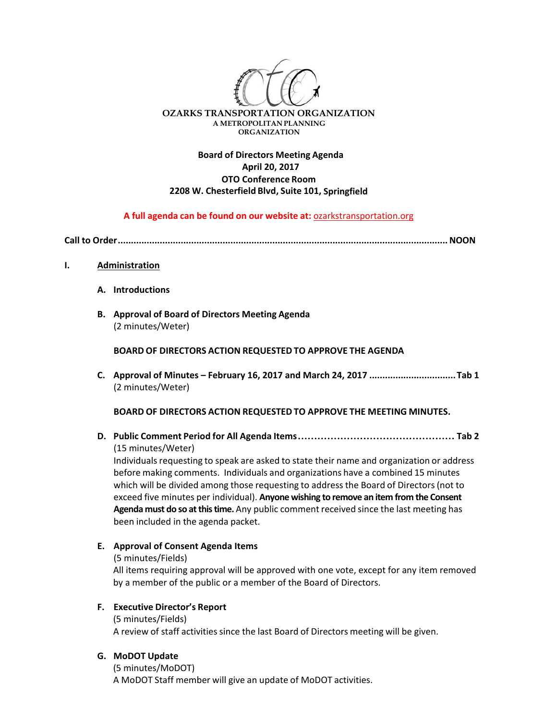

## **Board of Directors Meeting Agenda April 20, 2017 OTO Conference Room 2208 W. Chesterfield Blvd, Suite 101, Springfield**

### **A full agenda can be found on our website at:** ozarkstransportation.org

**Call to Order..............................................................................................................................NOON** 

#### **I. Administration**

- **A. Introductions**
- **B. Approval of Board of Directors Meeting Agenda** (2 minutes/Weter)

**BOARD OF DIRECTORS ACTION REQUESTED TO APPROVE THE AGENDA**

**C. Approval of Minutes – February 16, 2017 and March 24, 2017 .................................Tab 1** (2 minutes/Weter)

#### **BOARD OF DIRECTORS ACTION REQUESTED TO APPROVE THE MEETING MINUTES.**

**D. Public Comment Period for All Agenda Items................................................ Tab 2** (15 minutes/Weter)

Individuals requesting to speak are asked to state their name and organization or address before making comments. Individuals and organizations have a combined 15 minutes which will be divided among those requesting to address the Board of Directors (not to exceed five minutes per individual). **Anyone wishing to remove an item from the Consent Agenda must do so atthistime.** Any public comment received since the last meeting has been included in the agenda packet.

### **E. Approval of Consent Agenda Items**

(5 minutes/Fields)

All items requiring approval will be approved with one vote, except for any item removed by a member of the public or a member of the Board of Directors.

#### **F. Executive Director's Report**

(5 minutes/Fields) A review of staff activitiessince the last Board of Directors meeting will be given.

## **G. MoDOT Update**

(5 minutes/MoDOT) A MoDOT Staff member will give an update of MoDOT activities.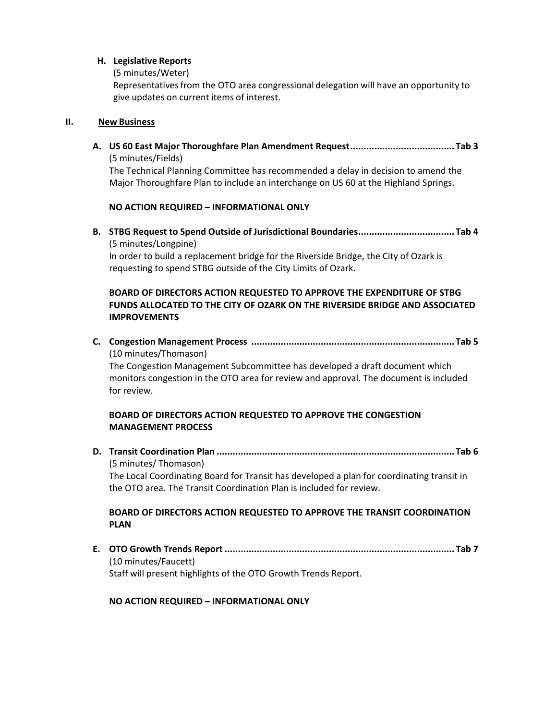## **H. Legislative Reports**

(5 minutes/Weter)

Representativesfrom the OTO area congressional delegation will have an opportunity to give updates on current items of interest.

### **II. New Business**

**A. US 60 East Major Thoroughfare Plan Amendment Request....................................... Tab 3** (5 minutes/Fields)

The Technical Planning Committee has recommended a delay in decision to amend the Major Thoroughfare Plan to include an interchange on US 60 at the Highland Springs.

### **NO ACTION REQUIRED – INFORMATIONAL ONLY**

**B. STBG Request to Spend Outside of Jurisdictional Boundaries.................................... Tab 4** (5 minutes/Longpine)

In order to build a replacement bridge for the Riverside Bridge, the City of Ozark is requesting to spend STBG outside of the City Limits of Ozark.

# **BOARD OF DIRECTORS ACTION REQUESTED TO APPROVE THE EXPENDITURE OF STBG FUNDS ALLOCATED TO THE CITY OF OZARK ON THE RIVERSIDE BRIDGE AND ASSOCIATED IMPROVEMENTS**

**C. Congestion Management Process ............................................................................ Tab 5** (10 minutes/Thomason)

The Congestion Management Subcommittee has developed a draft document which monitors congestion in the OTO area for review and approval. The document is included for review.

## **BOARD OF DIRECTORS ACTION REQUESTED TO APPROVE THE CONGESTION MANAGEMENT PROCESS**

**D. Transit Coordination Plan ......................................................................................... Tab 6** (5 minutes/ Thomason)

The Local Coordinating Board for Transit has developed a plan for coordinating transit in the OTO area. The Transit Coordination Plan is included for review.

## **BOARD OF DIRECTORS ACTION REQUESTED TO APPROVE THE TRANSIT COORDINATION PLAN**

**E. OTO Growth Trends Report ...................................................................................... Tab 7**  (10 minutes/Faucett) Staff will present highlights of the OTO Growth Trends Report.

### **NO ACTION REQUIRED – INFORMATIONAL ONLY**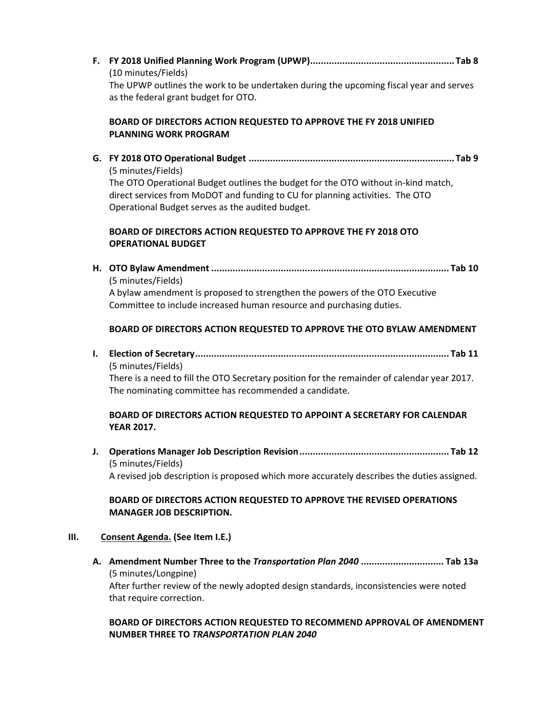**F. FY 2018 Unified Planning Work Program (UPWP)...................................................... Tab 8** (10 minutes/Fields) The UPWP outlines the work to be undertaken during the upcoming fiscal year and serves as the federal grant budget for OTO.

## **BOARD OF DIRECTORS ACTION REQUESTED TO APPROVE THE FY 2018 UNIFIED PLANNING WORK PROGRAM**

**G. FY 2018 OTO Operational Budget ............................................................................. Tab 9** (5 minutes/Fields) The OTO Operational Budget outlines the budget for the OTO without in‐kind match, direct services from MoDOT and funding to CU for planning activities. The OTO Operational Budget serves as the audited budget.

# **BOARD OF DIRECTORS ACTION REQUESTED TO APPROVE THE FY 2018 OTO OPERATIONAL BUDGET**

**H. OTO Bylaw Amendment ......................................................................................... Tab 10** (5 minutes/Fields) A bylaw amendment is proposed to strengthen the powers of the OTO Executive Committee to include increased human resource and purchasing duties.

# **BOARD OF DIRECTORS ACTION REQUESTED TO APPROVE THE OTO BYLAW AMENDMENT**

**I. Election of Secretary............................................................................................... Tab 11** (5 minutes/Fields)

There is a need to fill the OTO Secretary position for the remainder of calendar year 2017. The nominating committee has recommended a candidate.

## **BOARD OF DIRECTORS ACTION REQUESTED TO APPOINT A SECRETARY FOR CALENDAR YEAR 2017.**

**J. Operations Manager Job Description Revision........................................................ Tab 12** (5 minutes/Fields) A revised job description is proposed which more accurately describes the duties assigned.

## **BOARD OF DIRECTORS ACTION REQUESTED TO APPROVE THE REVISED OPERATIONS MANAGER JOB DESCRIPTION.**

### **III. Consent Agenda. (See Item I.E.)**

**A. Amendment Number Three to the** *Transportation Plan 2040* **............................... Tab 13a** (5 minutes/Longpine) After further review of the newly adopted design standards, inconsistencies were noted that require correction.

### **BOARD OF DIRECTORS ACTION REQUESTED TO RECOMMEND APPROVAL OF AMENDMENT NUMBER THREE TO** *TRANSPORTATION PLAN 2040*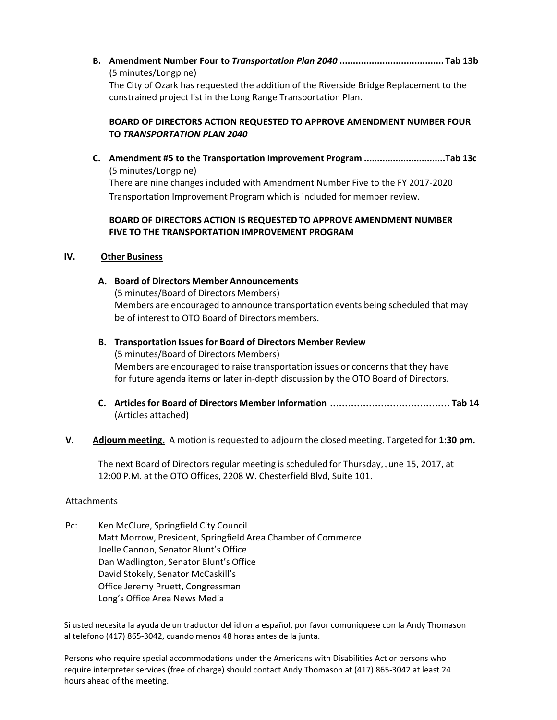**B. Amendment Number Four to** *Transportation Plan 2040* **....................................... Tab 13b** (5 minutes/Longpine) The City of Ozark has requested the addition of the Riverside Bridge Replacement to the constrained project list in the Long Range Transportation Plan.

### **BOARD OF DIRECTORS ACTION REQUESTED TO APPROVE AMENDMENT NUMBER FOUR TO** *TRANSPORTATION PLAN 2040*

**C. Amendment #5 to the Transportation Improvement Program ...............................Tab 13c** (5 minutes/Longpine) There are nine changes included with Amendment Number Five to the FY 2017‐2020 Transportation Improvement Program which is included for member review.

### **BOARD OF DIRECTORS ACTION IS REQUESTED TO APPROVE AMENDMENT NUMBER FIVE TO THE TRANSPORTATION IMPROVEMENT PROGRAM**

### **IV. Other Business**

### **A. Board of Directors Member Announcements**

(5 minutes/Board of Directors Members) Members are encouraged to announce transportation events being scheduled that may be of interest to OTO Board of Directors members.

- **B. Transportation Issues for Board of Directors Member Review** (5 minutes/Board of Directors Members) Members are encouraged to raise transportation issues or concerns that they have for future agenda items or later in-depth discussion by the OTO Board of Directors.
- **C. Articlesfor Board of Directors Member Information ........................................ Tab 14** (Articles attached)

### **V. Adjourn meeting.** A motion is requested to adjourn the closed meeting. Targeted for **1:30 pm.**

The next Board of Directors regular meeting is scheduled for Thursday, June 15, 2017, at 12:00 P.M. at the OTO Offices, 2208 W. Chesterfield Blvd, Suite 101.

### Attachments

Pc: Ken McClure, Springfield City Council Matt Morrow, President, Springfield Area Chamber of Commerce Joelle Cannon, Senator Blunt's Office Dan Wadlington, Senator Blunt's Office David Stokely, Senator McCaskill's Office Jeremy Pruett, Congressman Long's Office Area News Media

Si usted necesita la ayuda de un traductor del idioma español, por favor comuníquese con la Andy Thomason al teléfono (417) 865‐3042, cuando menos 48 horas antes de la junta.

Persons who require special accommodations under the Americans with Disabilities Act or persons who require interpreter services (free of charge) should contact Andy Thomason at (417) 865‐3042 at least 24 hours ahead of the meeting.